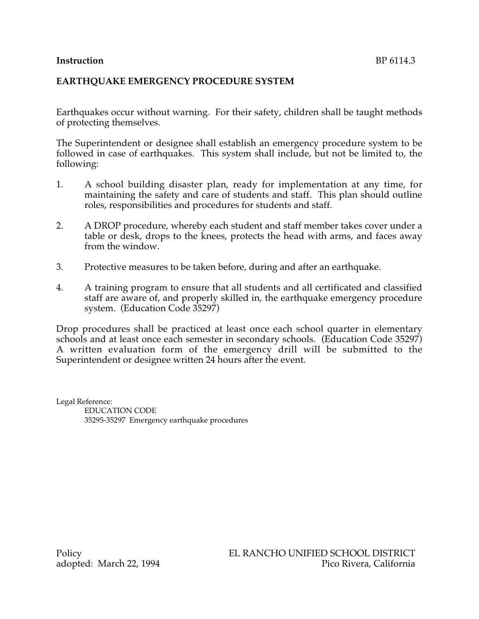# **Instruction** BP 6114.3

## **EARTHQUAKE EMERGENCY PROCEDURE SYSTEM**

Earthquakes occur without warning. For their safety, children shall be taught methods of protecting themselves.

The Superintendent or designee shall establish an emergency procedure system to be followed in case of earthquakes. This system shall include, but not be limited to, the following:

- 1. A school building disaster plan, ready for implementation at any time, for maintaining the safety and care of students and staff. This plan should outline roles, responsibilities and procedures for students and staff.
- 2. A DROP procedure, whereby each student and staff member takes cover under a table or desk, drops to the knees, protects the head with arms, and faces away from the window.
- 3. Protective measures to be taken before, during and after an earthquake.
- 4. A training program to ensure that all students and all certificated and classified staff are aware of, and properly skilled in, the earthquake emergency procedure system. (Education Code 35297)

Drop procedures shall be practiced at least once each school quarter in elementary schools and at least once each semester in secondary schools. (Education Code 35297) A written evaluation form of the emergency drill will be submitted to the Superintendent or designee written 24 hours after the event.

Legal Reference: EDUCATION CODE 35295-35297 Emergency earthquake procedures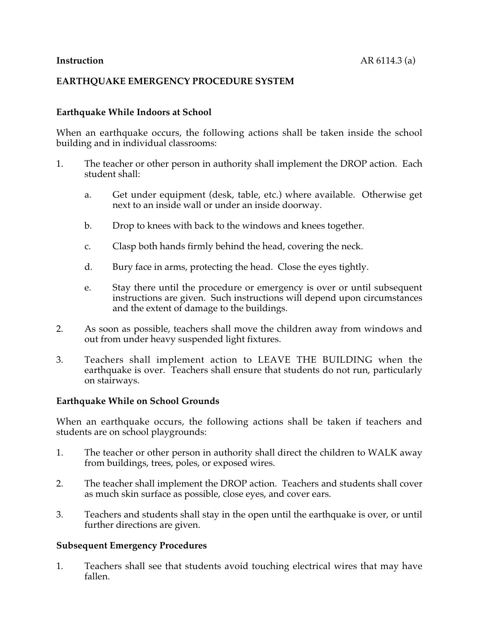## **EARTHQUAKE EMERGENCY PROCEDURE SYSTEM**

## **Earthquake While Indoors at School**

When an earthquake occurs, the following actions shall be taken inside the school building and in individual classrooms:

- 1. The teacher or other person in authority shall implement the DROP action. Each student shall:
	- a. Get under equipment (desk, table, etc.) where available. Otherwise get next to an inside wall or under an inside doorway.
	- b. Drop to knees with back to the windows and knees together.
	- c. Clasp both hands firmly behind the head, covering the neck.
	- d. Bury face in arms, protecting the head. Close the eyes tightly.
	- e. Stay there until the procedure or emergency is over or until subsequent instructions are given. Such instructions will depend upon circumstances and the extent of damage to the buildings.
- 2. As soon as possible, teachers shall move the children away from windows and out from under heavy suspended light fixtures.
- 3. Teachers shall implement action to LEAVE THE BUILDING when the earthquake is over. Teachers shall ensure that students do not run, particularly on stairways.

## **Earthquake While on School Grounds**

When an earthquake occurs, the following actions shall be taken if teachers and students are on school playgrounds:

- 1. The teacher or other person in authority shall direct the children to WALK away from buildings, trees, poles, or exposed wires.
- 2. The teacher shall implement the DROP action. Teachers and students shall cover as much skin surface as possible, close eyes, and cover ears.
- 3. Teachers and students shall stay in the open until the earthquake is over, or until further directions are given.

## **Subsequent Emergency Procedures**

1. Teachers shall see that students avoid touching electrical wires that may have fallen.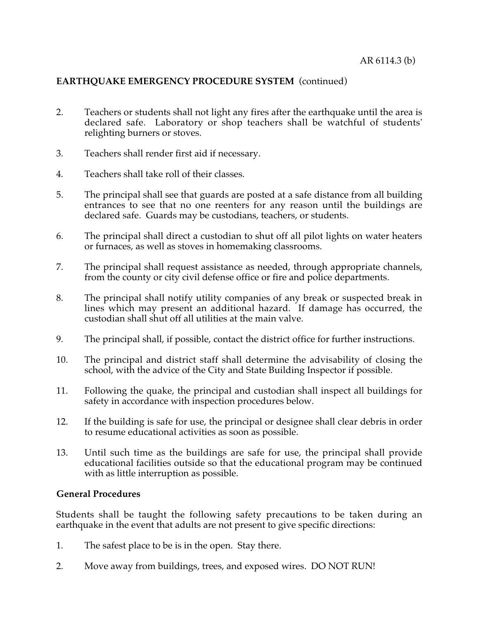# **EARTHQUAKE EMERGENCY PROCEDURE SYSTEM** (continued)

- 2. Teachers or students shall not light any fires after the earthquake until the area is declared safe. Laboratory or shop teachers shall be watchful of students' relighting burners or stoves.
- 3. Teachers shall render first aid if necessary.
- 4. Teachers shall take roll of their classes.
- 5. The principal shall see that guards are posted at a safe distance from all building entrances to see that no one reenters for any reason until the buildings are declared safe. Guards may be custodians, teachers, or students.
- 6. The principal shall direct a custodian to shut off all pilot lights on water heaters or furnaces, as well as stoves in homemaking classrooms.
- 7. The principal shall request assistance as needed, through appropriate channels, from the county or city civil defense office or fire and police departments.
- 8. The principal shall notify utility companies of any break or suspected break in lines which may present an additional hazard. If damage has occurred, the custodian shall shut off all utilities at the main valve.
- 9. The principal shall, if possible, contact the district office for further instructions.
- 10. The principal and district staff shall determine the advisability of closing the school, with the advice of the City and State Building Inspector if possible.
- 11. Following the quake, the principal and custodian shall inspect all buildings for safety in accordance with inspection procedures below.
- 12. If the building is safe for use, the principal or designee shall clear debris in order to resume educational activities as soon as possible.
- 13. Until such time as the buildings are safe for use, the principal shall provide educational facilities outside so that the educational program may be continued with as little interruption as possible.

## **General Procedures**

Students shall be taught the following safety precautions to be taken during an earthquake in the event that adults are not present to give specific directions:

- 1. The safest place to be is in the open. Stay there.
- 2. Move away from buildings, trees, and exposed wires. DO NOT RUN!